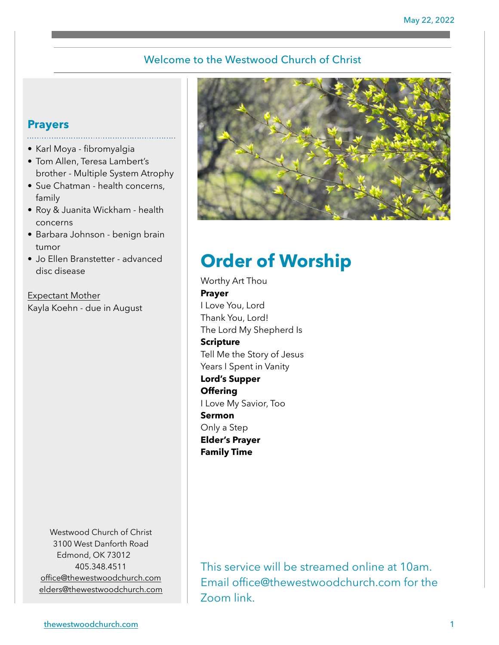## Welcome to the Westwood Church of Christ

# **Prayers**

- Karl Moya fibromyalgia
- Tom Allen, Teresa Lambert's brother - Multiple System Atrophy
- Sue Chatman health concerns, family
- Roy & Juanita Wickham health concerns
- Barbara Johnson benign brain tumor
- Jo Ellen Branstetter advanced disc disease

Expectant Mother Kayla Koehn - due in August

> Westwood Church of Christ 3100 West Danforth Road Edmond, OK 73012 405.348.4511 [office@thewestwoodchurch.com](mailto:office@thewestwoodchurch.com) [elders@thewestwoodchurch.com](mailto:elders@thewestwoodchurch.com)



# **Order of Worship**

Worthy Art Thou **Prayer** I Love You, Lord Thank You, Lord! The Lord My Shepherd Is **Scripture** Tell Me the Story of Jesus Years I Spent in Vanity **Lord's Supper Offering** I Love My Savior, Too **Sermon** Only a Step **Elder's Prayer Family Time**

This service will be streamed online at 10am. Email office@thewestwoodchurch.com for the Zoom link.